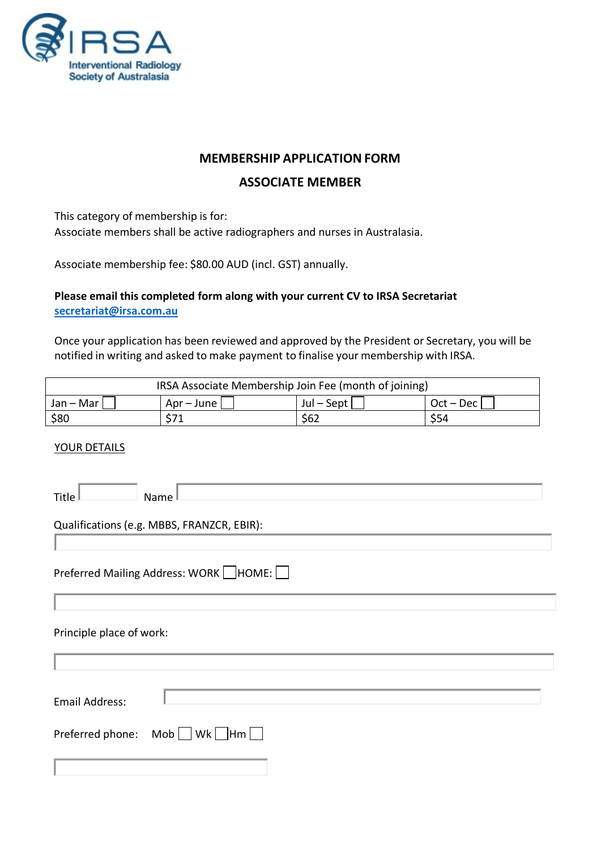

# **MEMBERSHIP APPLICATION FORM**

### **ASSOCIATE MEMBER**

This category of membership is for:

Associate members shall be active radiographers and nurses in Australasia.

Associate membership fee: \$80.00 AUD (incl. GST) annually.

#### **Please email this completed form along with your current CV to IRSA Secretariat [secretariat@irsa.com.au](mailto:secretariat@irsa.com.au)**

Once your application has been reviewed and approved by the President or Secretary, you will be notified in writing and asked to make payment to finalise your membership with IRSA.

| IRSA Associate Membership Join Fee (month of joining) |              |                |             |  |  |
|-------------------------------------------------------|--------------|----------------|-------------|--|--|
| Jan – Mar                                             | Apr – June I | $Jul - Sept  $ | Oct – Dec I |  |  |
| \$80                                                  | Ċ71          | \$62           | <b>S54</b>  |  |  |

#### YOUR DETAILS

| Title $\mathbb I$        | Name                                          |
|--------------------------|-----------------------------------------------|
|                          | Qualifications (e.g. MBBS, FRANZCR, EBIR):    |
|                          | Preferred Mailing Address: WORK HOME:         |
| Principle place of work: |                                               |
| <b>Email Address:</b>    |                                               |
| Preferred phone:         | $\mathsf{Mob} \ \Box$ Wk $\ \Box$ Hm $\ \Box$ |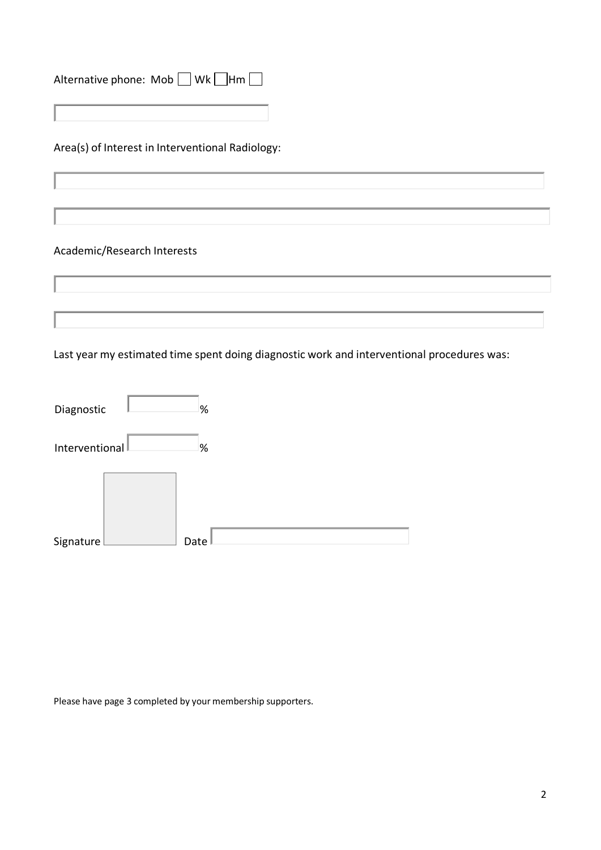| Alternative phone: Mob Wk Hm |  |  |
|------------------------------|--|--|
|                              |  |  |

Area(s) of Interest in Interventional Radiology:

# Academic/Research Interests

Last year my estimated time spent doing diagnostic work and interventional procedures was:

| Diagnostic     | %    |
|----------------|------|
| Interventional | %    |
|                |      |
|                |      |
| Signature      | Date |

Please have page 3 completed by your membership supporters.